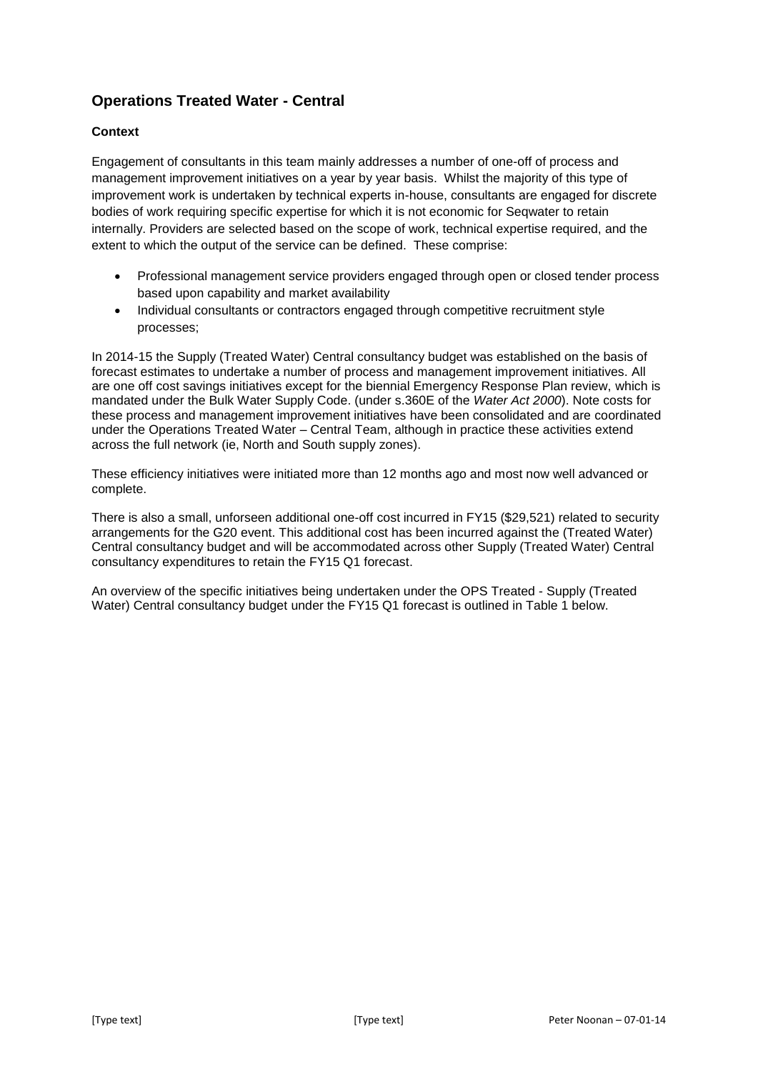## **Operations Treated Water - Central**

## **Context**

Engagement of consultants in this team mainly addresses a number of one-off of process and management improvement initiatives on a year by year basis. Whilst the majority of this type of improvement work is undertaken by technical experts in-house, consultants are engaged for discrete bodies of work requiring specific expertise for which it is not economic for Seqwater to retain internally. Providers are selected based on the scope of work, technical expertise required, and the extent to which the output of the service can be defined. These comprise:

- Professional management service providers engaged through open or closed tender process based upon capability and market availability
- Individual consultants or contractors engaged through competitive recruitment style processes;

In 2014-15 the Supply (Treated Water) Central consultancy budget was established on the basis of forecast estimates to undertake a number of process and management improvement initiatives. All are one off cost savings initiatives except for the biennial Emergency Response Plan review, which is mandated under the Bulk Water Supply Code. (under s.360E of the *Water Act 2000*). Note costs for these process and management improvement initiatives have been consolidated and are coordinated under the Operations Treated Water – Central Team, although in practice these activities extend across the full network (ie, North and South supply zones).

These efficiency initiatives were initiated more than 12 months ago and most now well advanced or complete.

There is also a small, unforseen additional one-off cost incurred in FY15 (\$29,521) related to security arrangements for the G20 event. This additional cost has been incurred against the (Treated Water) Central consultancy budget and will be accommodated across other Supply (Treated Water) Central consultancy expenditures to retain the FY15 Q1 forecast.

An overview of the specific initiatives being undertaken under the OPS Treated - Supply (Treated Water) Central consultancy budget under the FY15 Q1 forecast is outlined in Table 1 below.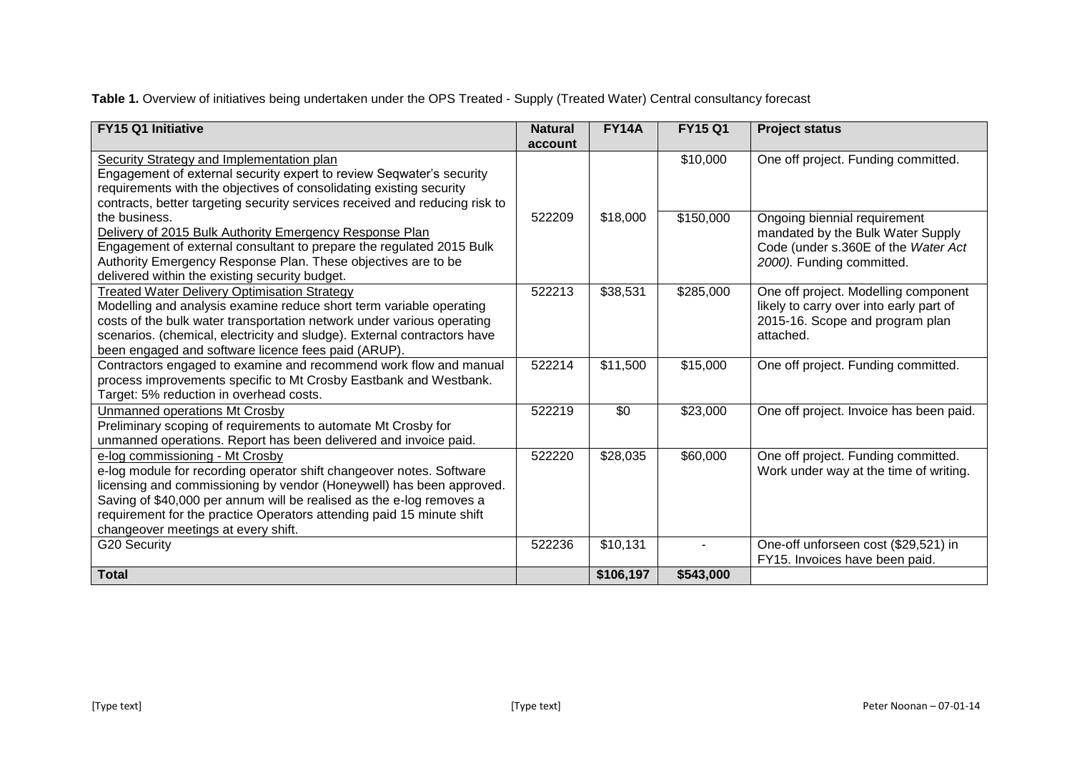Table 1. Overview of initiatives being undertaken under the OPS Treated - Supply (Treated Water) Central consultancy forecast

| FY15 Q1 Initiative                                                          | <b>Natural</b> | <b>FY14A</b> | <b>FY15 Q1</b> | <b>Project status</b>                   |
|-----------------------------------------------------------------------------|----------------|--------------|----------------|-----------------------------------------|
|                                                                             | account        |              |                |                                         |
| Security Strategy and Implementation plan                                   |                |              | \$10,000       | One off project. Funding committed.     |
| Engagement of external security expert to review Seqwater's security        |                |              |                |                                         |
| requirements with the objectives of consolidating existing security         |                |              |                |                                         |
| contracts, better targeting security services received and reducing risk to |                |              |                |                                         |
| the business.                                                               | 522209         | \$18,000     | \$150,000      | Ongoing biennial requirement            |
| Delivery of 2015 Bulk Authority Emergency Response Plan                     |                |              |                | mandated by the Bulk Water Supply       |
| Engagement of external consultant to prepare the regulated 2015 Bulk        |                |              |                | Code (under s.360E of the Water Act     |
| Authority Emergency Response Plan. These objectives are to be               |                |              |                | 2000). Funding committed.               |
| delivered within the existing security budget.                              |                |              |                |                                         |
| <b>Treated Water Delivery Optimisation Strategy</b>                         | 522213         | \$38,531     | \$285,000      | One off project. Modelling component    |
| Modelling and analysis examine reduce short term variable operating         |                |              |                | likely to carry over into early part of |
| costs of the bulk water transportation network under various operating      |                |              |                | 2015-16. Scope and program plan         |
| scenarios. (chemical, electricity and sludge). External contractors have    |                |              |                | attached.                               |
| been engaged and software licence fees paid (ARUP).                         |                |              |                |                                         |
| Contractors engaged to examine and recommend work flow and manual           | 522214         | \$11,500     | \$15,000       | One off project. Funding committed.     |
| process improvements specific to Mt Crosby Eastbank and Westbank.           |                |              |                |                                         |
| Target: 5% reduction in overhead costs.                                     |                |              |                |                                         |
| Unmanned operations Mt Crosby                                               | 522219         | \$0          | \$23,000       | One off project. Invoice has been paid. |
| Preliminary scoping of requirements to automate Mt Crosby for               |                |              |                |                                         |
| unmanned operations. Report has been delivered and invoice paid.            |                |              |                |                                         |
| e-log commissioning - Mt Crosby                                             | 522220         | \$28,035     | \$60,000       | One off project. Funding committed.     |
| e-log module for recording operator shift changeover notes. Software        |                |              |                | Work under way at the time of writing.  |
| licensing and commissioning by vendor (Honeywell) has been approved.        |                |              |                |                                         |
| Saving of \$40,000 per annum will be realised as the e-log removes a        |                |              |                |                                         |
| requirement for the practice Operators attending paid 15 minute shift       |                |              |                |                                         |
| changeover meetings at every shift.                                         |                |              |                |                                         |
| G20 Security                                                                | 522236         | \$10,131     |                | One-off unforseen cost (\$29,521) in    |
|                                                                             |                |              |                | FY15. Invoices have been paid.          |
| <b>Total</b>                                                                |                | \$106,197    | \$543,000      |                                         |